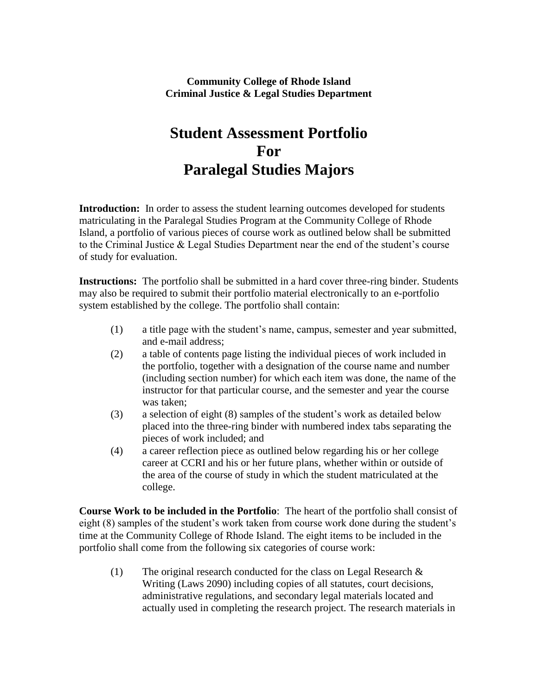## **Community College of Rhode Island Criminal Justice & Legal Studies Department**

## **Student Assessment Portfolio For Paralegal Studies Majors**

**Introduction:** In order to assess the student learning outcomes developed for students matriculating in the Paralegal Studies Program at the Community College of Rhode Island, a portfolio of various pieces of course work as outlined below shall be submitted to the Criminal Justice & Legal Studies Department near the end of the student's course of study for evaluation.

**Instructions:** The portfolio shall be submitted in a hard cover three-ring binder. Students may also be required to submit their portfolio material electronically to an e-portfolio system established by the college. The portfolio shall contain:

- (1) a title page with the student's name, campus, semester and year submitted, and e-mail address;
- (2) a table of contents page listing the individual pieces of work included in the portfolio, together with a designation of the course name and number (including section number) for which each item was done, the name of the instructor for that particular course, and the semester and year the course was taken;
- (3) a selection of eight (8) samples of the student's work as detailed below placed into the three-ring binder with numbered index tabs separating the pieces of work included; and
- (4) a career reflection piece as outlined below regarding his or her college career at CCRI and his or her future plans, whether within or outside of the area of the course of study in which the student matriculated at the college.

**Course Work to be included in the Portfolio**: The heart of the portfolio shall consist of eight (8) samples of the student's work taken from course work done during the student's time at the Community College of Rhode Island. The eight items to be included in the portfolio shall come from the following six categories of course work:

(1) The original research conducted for the class on Legal Research  $\&$ Writing (Laws 2090) including copies of all statutes, court decisions, administrative regulations, and secondary legal materials located and actually used in completing the research project. The research materials in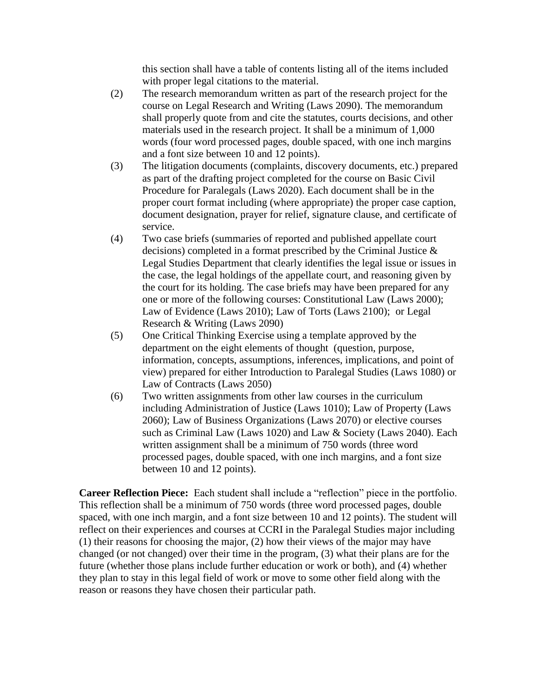this section shall have a table of contents listing all of the items included with proper legal citations to the material.

- (2) The research memorandum written as part of the research project for the course on Legal Research and Writing (Laws 2090). The memorandum shall properly quote from and cite the statutes, courts decisions, and other materials used in the research project. It shall be a minimum of 1,000 words (four word processed pages, double spaced, with one inch margins and a font size between 10 and 12 points).
- (3) The litigation documents (complaints, discovery documents, etc.) prepared as part of the drafting project completed for the course on Basic Civil Procedure for Paralegals (Laws 2020). Each document shall be in the proper court format including (where appropriate) the proper case caption, document designation, prayer for relief, signature clause, and certificate of service.
- (4) Two case briefs (summaries of reported and published appellate court decisions) completed in a format prescribed by the Criminal Justice & Legal Studies Department that clearly identifies the legal issue or issues in the case, the legal holdings of the appellate court, and reasoning given by the court for its holding. The case briefs may have been prepared for any one or more of the following courses: Constitutional Law (Laws 2000); Law of Evidence (Laws 2010); Law of Torts (Laws 2100); or Legal Research & Writing (Laws 2090)
- (5) One Critical Thinking Exercise using a template approved by the department on the eight elements of thought (question, purpose, information, concepts, assumptions, inferences, implications, and point of view) prepared for either Introduction to Paralegal Studies (Laws 1080) or Law of Contracts (Laws 2050)
- (6) Two written assignments from other law courses in the curriculum including Administration of Justice (Laws 1010); Law of Property (Laws 2060); Law of Business Organizations (Laws 2070) or elective courses such as Criminal Law (Laws 1020) and Law & Society (Laws 2040). Each written assignment shall be a minimum of 750 words (three word processed pages, double spaced, with one inch margins, and a font size between 10 and 12 points).

**Career Reflection Piece:** Each student shall include a "reflection" piece in the portfolio. This reflection shall be a minimum of 750 words (three word processed pages, double spaced, with one inch margin, and a font size between 10 and 12 points). The student will reflect on their experiences and courses at CCRI in the Paralegal Studies major including (1) their reasons for choosing the major, (2) how their views of the major may have changed (or not changed) over their time in the program, (3) what their plans are for the future (whether those plans include further education or work or both), and (4) whether they plan to stay in this legal field of work or move to some other field along with the reason or reasons they have chosen their particular path.